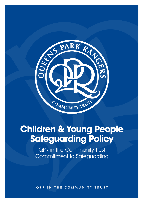

# **Children & Young People Safeguarding Policy**

QPR in the Community Trust Commitment to Safeguarding

**qpr in the community trust**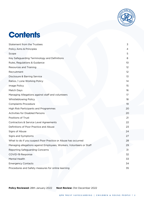

## **Contents**

| Statement from the Trustees                                          | 3                 |
|----------------------------------------------------------------------|-------------------|
| Policy Aims & Principles                                             | 4                 |
| Scope                                                                | 5                 |
| Key Safeguarding Terminology and Definitions                         | 8                 |
| Rules, Regulations & Guidance                                        | 10                |
| Resources and Training                                               | $12 \overline{ }$ |
| Recruitment                                                          | $12 \overline{ }$ |
| Disclosure & Barring Service                                         | 13                |
| Ratios / Lone Working Policy                                         | 14                |
| Image Policy                                                         | 15                |
| Match Days                                                           | 16                |
| Managing Allegations against staff and volunteers                    | $17 \,$           |
| Whistleblowing Policy                                                | 18                |
| <b>Complaints Procedure</b>                                          | 19                |
| High Risk Participants and Programmes                                | 20                |
| <b>Activities for Disabled Persons</b>                               | 20                |
| Positions of Trust                                                   | 21                |
| Contractors & Service Level Agreements                               | 22                |
| Definitions of Poor Practice and Abuse                               | 23                |
| Signs of Abuse                                                       | 24                |
| Signs and Symptoms                                                   | 27                |
| What to do if you suspect Poor Practice or Abuse has occurred        | 28                |
| Managing allegations against Employees, Workers, Volunteers or Staff | 29                |
| Reporting Safeguarding Concerns                                      | 31                |
| COVID-19 Response                                                    | 32                |
| Mental Health                                                        | 33                |
| <b>Emergency Contacts</b>                                            | 34                |
| Procedures and Safety measures for online learning                   | 35                |
|                                                                      |                   |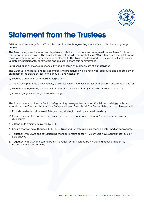

## **Statement from the Trustees**

QPR in the Community Trust (Trust) is committed to Safeguarding the welfare of children and young people.

The Trust recognises its moral and legal responsibility to promote and safeguard the welfare of children taking part in our sessions. The Trust will work alongside the football club (Club) to ensure the safety of all those who engage with and come into contact with the Trust. The Club and Trust expects all staff, players, volunteers, participants, contractors and guests to share this commitment.

Safeguarding is everyone's responsibility and children should feel safe at our activities.

The Safeguarding policy and it's accompanying procedures will be reviewed, approved and adopted by or on behalf of the Board at least once annually and whenever:

- a) There is a change in safeguarding legislation.
- b) The CCO implements a new activity or service which involves contact with children and/or adults at risk;
- c) There is a safeguarding incident within the CCO or which directly concerns or affects the CCO;
- d) Following significant organisational change.

The Board have appointed a Senior Safeguarding manager, Mohammed Khaliel ( mkhaliel@gmail.com) who sits on the Board and champions Safeguarding at Board level. The Senior Safeguarding Manager will

- 1) Provide leadership at internal Safeguarding strategic meetings at least quarterly
- 2) Ensure the club has appropriate policies in place in respect of identifying / reporting concerns or disclosures
- 3) Attend SSM training delivered by EFL
- 4) Ensure footballing authorities, EFL / EFL Trust and FA safeguarding team are informed as appropriate
- 5) Together with DSOs and safeguarding manager ensure all staff / volunteers have appropriate level of DBS checks
- 6) Together with DSO and safeguarding manager identify safeguarding training needs and identify resource to support training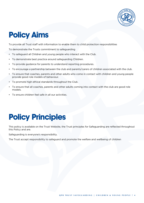

# **Policy Aims**

To provide all Trust staff with information to enable them to child protection responsibilities

To demonstrate the Trusts commitment to safeguarding

- To safeguard all Children and young people who interact with the Club.
- To demonstrate best practice around safeguarding Children.
- To provide guidance for parents to understand reporting procedures.
- To encourage a partnership between the club and parents/carers of children associated with the club.
- To ensure that coaches, parents and other adults who come in contact with children and young people provide good role models of behaviour.
- To promote high ethical standards throughout the Club.
- To ensure that all coaches, parents and other adults coming into contact with the club are good role models.
- To ensure children feel safe in all our activities.

# **Policy Principles**

This policy is available on the Trust Website, the Trust principles for Safeguarding are reflected throughout this Policy and are.

Safeguarding is everyone's responsibility.

The Trust accept responsibility to safeguard and promote the welfare and wellbeing of children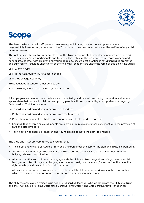

## **Scope**

The Trust believe that all staff, players, volunteers, participants, contractors and guests have a responsibility to report any concerns to the Trust should they be concerned about the welfare of any child or young person.

This policy is applicable to every employee of the Trust including staff, volunteers, parents, carers, work experience placements, participants and trustees. The policy will be observed by all those working and coming into contact with children and young people to ensure best practice in safeguarding is promoted and adhered to. Activities undertaken at the following locations are under the remit of this policy including;

QPR Women/Girls

QPR in the Community Trust Soccer Schools

QPR Girls college Academy

Trust activities at schools, other venues etc.

Kicks projects, and all projects run by Trust coaches

All employees and workers are made aware of the Policy and procedures through induction and where appropriate their work with children and young people will be supported by a comprehensive ongoing Safeguarding Training program.

Safeguarding children and young people is defined as;

- 1) Protecting children and young people from maltreatment
- 2) Preventing impairment of children or young people's health or development
- 3) Ensuring that children or young people are growing up in circumstances consistent with the provision of safe and effective care
- 4) Taking action to enable all children and young people to have the best life chances

The Club and Trust are committed to ensuring that:

- The safety and welfare of Adults at Risk and Children under the care of the club and Trust is paramount.
- All children have the right to participate in Trust sporting activities in a safe environment free from bullying, abuse or exploitation
- All Adults at Risk and Children that engage with the club and Trust, regardless of age, culture, social background, disability, gender, language, racial origin, religious belief and/or sexual identity have the right to safety and protection from abuse or harm.
- All suspicions, reports and/or allegations of abuse will be taken seriously & investigated thoroughly which may involve the appropriate local authority teams where necessary.

The club has employed a trained Club-wide Safeguarding Manager who works across the Club and Trust, and the Trust have a full time Designated Safeguarding Officer. The Club Safeguarding Manager has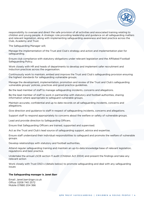

responsibility to oversee and direct the safe provision of all activities and associated training relating to children and young people. A strategic role providing leadership and guidance on all safeguarding matters and relevant legislation, along with implementing safeguarding awareness and best practice across the Club, Academy and Trust.

The Safeguarding Manager will;

Manage the implementation of the Trust and Club's strategy and action and implementation plan for safeguarding.

Ensure club compliance with statutory obligations under relevant legislation and the Affiliated Football Safeguarding Policy.

Work closely with HR and heads of departments to develop and implement safer recruitment and induction practices across the organisation.

Continuously work to maintain, embed and improve the Trust and Club's safeguarding provision ensuring the highest standards for safeguarding vulnerable groups.

Manage the development, implementation, promotion and review of the Trust and Club's safeguarding vulnerable groups' policies, practices and good practice guidelines.

Be the lead member of staff to manage safeguarding incidents, concerns and allegations.

Be the lead member of staff to work in partnership with statutory and football authorities, sharing information where appropriate to safeguard vulnerable groups.

Maintain accurate, confidential and up to date records on all safeguarding incidents, concerns and allegations.

Give direction and guidance to staff in respect of safeguarding incidents, concerns and allegations.

Support staff to respond appropriately to concerns about the welfare or safety of vulnerable groups.

Lead and provide direction to Safeguarding Officers.

Ensure that Safeguarding Officers are trained, supported and supervised.

Act as the Trust and Club's lead source of safeguarding support, advice and expertise.

Ensure staff understand their individual responsibilities to safeguard and promote the welfare of vulnerable groups.

Develop relationships with statutory and football authorities.

Attend regular safeguarding training and maintain an up-to-date knowledge base of relevant legislation, regulations and best practice.

Undertake the annual LSCB section 11 audit (Children Act 2004) and present the findings and take any relevant action

Work closely with Trust DSO s (details below) to promote safeguarding and deal with any safeguarding issues

#### **The Safeguarding manager is Janet Barr**

Email: Janet.barr@qpr.co.uk Office: 0208 740 2572 Mobile 07880 204 366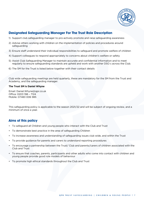

### **Designated Safeguarding Manager For The Trust Role Description**

- 1) Support club safeguarding manager to pro-actively promote and raise safeguarding awareness
- 2) Advise others working with children on the implementation of policies and procedures around safeguarding
- 3) Ensure staff understand their individual responsibilities to safeguard and promote welfare of children
- 4) Support colleagues to respond appropriately to concerns about children's welfare or safety
- 5) Assist Club Safeguarding Manager to maintain accurate and confidential information and to meet regularly to ensure safeguarding standards are upheld and work with another DSO s across the Club.
- 6) The SM for the Trust is listed below together with their contact details

Club wide safeguarding meetings are held quarterly, these are mandatory for the SM from the Trust and Academy, and the safeguarding manager.

#### **The Trust SM is Daniel Whyne**

Email: Daniel.Whyne@qpr.co.uk Office: 0203 198 – 7124 Mobile: 07483 006 985

This safeguarding policy is applicable to the season 2021/22 and will be subject of ongoing review, and a minimum of once a year.

### **Aims of this policy**

- To safeguard all Children and young people who interact with the Club and Trust
- To demonstrate best practice in the area of safeguarding Children
- To increase awareness and understanding of safeguarding issues club wide, and within the Trust
- To provide guidance for parents and carers to understand reporting procedures
- To encourage a partnership between the Trust/ Club and parents/carers of children associated with the Club and Trust
- To ensure that coaches, parents, participants and other adults who come into contact with children and young people provide good role models of behaviour
- To promote high ethical standards throughout the Club and Trust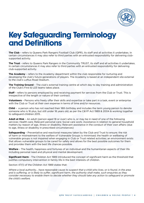

## **Key Safeguarding Terminology and Definitions**

**The Club** – refers to Queens Park Rangers Football Club (QPR), its staff and all activities it undertakes. In certain circumstances it may also refer to third parties with an entrusted responsibility for delivering clubsupported activity.

**The Trust** - refers to Queens Park Rangers in the Community TRUST, its staff and all activities it undertakes. In certain circumstances it may also refer to third parties with an entrusted responsibility for delivering club-supported activity.

**The Academy** – refers to the Academy department within the club responsible for nurturing and developing the club's future generations of players. The Academy is based at an independent site external to the club's Loftus Road Stadium.

**The Training Ground** – The club's external training centre at which day to day training and administration of the Club's First & U23 teams takes place.

**Staff** – refers to persons employed by and receiving payment for services from the Club or Trust. This is irrespective of the length or nature of their contract.

**Volunteers** – Persons who freely offer their skills and expertise or take part in a task, event or enterprise with the Club or Trust at their own expense in terms of time and/or resources.

**Child** – a person who has not reached their 18th birthday and includes the term young person to denote someone who is 16 plus, but still under 18 years old, as per the C&YP Act 1989 & 2004 & working together to safeguard children 2015 .

**Adult at Risk** – An adult (person aged 18 or over) who is, or may be in need of one of the following services: Health care; Relevant personal care; Social care work; Assistance in relation to general household matters by reason of age, illness or disability; Relevant assistance in the conduct of their own affairs (due to age, illness or disability in prescribed circumstances)

**Safeguarding** – Preventative and reactional measures taken by the Club and Trust to ensure; the risk of harm or mistreatment to the welfare of Vulnerable Groups is minimised; the health or wellbeing of vulnerable groups is not impaired when engaging in Club or Trust related activities; an environment exists that allows vulnerable groups to be cared for safely and allows for the best possible outcomes for them and provides them with the best life chances possible.

**Welfare** – The health, happiness and fortunes of an individual and the humanitarian aspects of their life including personal need and physical and mental development.

**Significant Harm** - The Children Act 1989 introduced the concept of significant harm as the threshold that justifies compulsory intervention in family life in the best interests of children.

Section 47(1) of the Children Act 1989 states that:

*Where a local authority... have reasonable cause to suspect that a child who lives, or is found, in the area and is suffering, or is likely to suffer, significant harm, the authority shall make, such enquiries as they consider necessary to enable them to decide whether they should take any action to safeguard or promote the child's welfare.*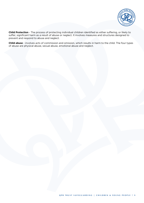

**Child Protection** - The process of protecting individual children identified as either suffering, or likely to suffer, significant harm as a result of abuse or neglect. It involves measures and structures designed to prevent and respond to abuse and neglect.

**Child abuse** - involves acts of commission and omission, which results in harm to the child. The four types of abuse are physical abuse, sexual abuse, emotional abuse and neglect.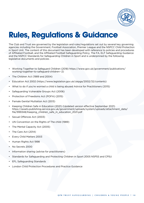

# **Rules, Regulations & Guidance**

The Club and Trust are governed by the legislation and rules/regulations set out by several key governing agencies including the Government, Football Association, Premier League and the NSPCC Child Protection in Sport Unit. The content of this document has been developed with reference to policies and procedures of Affiliated Football, and the Affiliated Football Safeguarding Policy, The FA, ELF Safeguarding Guidance and the NSPCC Standards for Safeguarding Children in Sport and is underpinned by the following legislative documents and policies .

- Working Together to Safeguard Children (2018) https://www.gov.uk/government/publications/ working-together-to-safeguard-children--2)
- The Children Act (1989 and 2004)
- Education Act 2002 (https://www.legislation.gov.uk/ukpga/2002/32/contents)
- What to do if you're worried a child is being abused Advice for Practitioners (2015)
- Safeguarding Vulnerable Groups Act (2006)
- Protection of Freedoms Act (POFA) (2015)
- Female Genital Mutilation Act (2013)
- Keeping Children Safe in Education (2021) (Updated version effective September 2021) https://assets.publishing.service.gov.uk/government/uploads/system/uploads/attachment\_data/ file/999348/Keeping\_children\_safe\_in\_education\_2021.pdf
- Sexual Offences Act (2003)
- UN Convention on the Rights of The child (1989)
- The Mental Capacity Act (2005)
- The Care Act (2014)
- Every Child Matters 2003
- Human Rights Act 1998
- No Secrets 2000
- Information sharing (advise for practitioners)
- Standards for Safeguarding and Protecting Children in Sport 2005 NSPSS and CPSU
- EFL Safeguarding Standards
- London Child Protection Procedures and Practice Guidance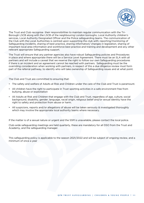

The Trust and Club recognise their responsibilities to maintain regular communication with the Tri-Borough LSCB along with the LSCB of the neighbouring London boroughs, Local Authority children's services, Local Authority Designated Officer and the Police safeguarding teams. The communication of the Club with the Local Authorities is centred upon supporting the club with; reporting/monitoring of Safeguarding incidents, sharing of best practice, sharing information/ changes in legislation, sharing of important local area information and workforce best practice and training and development and any other relevant appropriate Safeguarding support.

The Trust will ensure that any partner agencies also have robust Safeguarding policies and Procedures in place and where appropriate there will be a Service Level Agreement. There must be an SLA with all partners and will include a caveat that we reserve the right to follow our own Safeguarding procedures if there is an incident and an agreement cannot be reached with partners. Safeguarding must be the overriding consideration when working with partners, in respect of this a due diligence review must form part of the referral pathway, to identify who will take ownership of Safeguarding issues and at what point.

The Club and Trust are committed to ensuring that:

- The safety and welfare of Adults at Risk and Children under the care of the Club and Trust is paramount.
- All children have the right to participate in Trust sporting activities in a safe environment free from bullying, abuse or exploitation
- All Adults at Risk and Children that engage with the Club and Trust, regardless of age, culture, social background, disability, gender, language, racial origin, religious belief and/or sexual identity have the right to safety and protection from abuse or harm.
- All suspicions, reports and/or allegations of abuse will be taken seriously & investigated thoroughly which may involve the appropriate local authority teams where necessary.

If the matter is of a sexual nature or urgent and the SSM is unavailable, please contact the local police.

Club-wide safeguarding meetings are held quarterly, these are mandatory for all DSO from the Trust and Academy, and the safeguarding manager.

This safeguarding policy is applicable to the season 2021/2022 and will be subject of ongoing review, and a minimum of once a year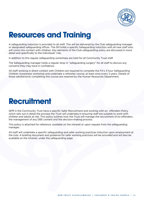

## **Resources and Training**

A safeguarding induction is provided to all staff. This will be delivered by the Club safeguarding manager or designated safeguarding officer. The SM holds a specific Safeguarding Induction with all new staff who will come into contact with children. Key elements of the Club safeguarding policy are discussed in more detail and specifically to the individuals' role.

In addition to this regular safeguarding workshops are held for all Community Trust staff.

The Safeguarding manager holds a regular drop in "safeguarding surgery" for all staff to discuss any concerns they may have in confidence .

All staff working in direct contact with Children are required to complete the FA's 3 hour Safeguarding Children Awareness workshop and undertake a refresher course, at least once every 3 years. Details of those satisfactorily completing this course are retained by the Human Resources Department.

## **Recruitment**

QPR in the Community Trust have a specific Safer Recruitment and working with ex- offenders Policy which sets out in detail the process the Trust will undertake in ensuring staff are suitable to work with children and adults at risk. This policy outlines how the Trust will manage the recruitment of ex-offenders, the management of any DBS content and the decision-making process.

This policy is attached for reference. available on the intranet or upon request from the safeguarding manager.

All staff will undertake a specific safeguarding and safer working practices induction upon employment at the club. A briefing document and guidance for safer working practices will be provided and will also be available on the intranet, under the safeguarding page.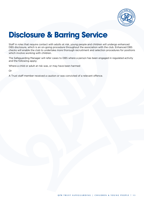

# **Disclosure & Barring Service**

Staff in roles that require contact with adults at risk, young people and children will undergo enhanced DBS disclosure, which is an on-going procedure throughout the association with the club. Enhanced DBS checks will enable the club to undertake more thorough recruitment and selection procedures for positions which involve working with children.

The Safeguarding Manager will refer cases to DBS where a person has been engaged in regulated activity and the following apply;

Where a child or adult at risk was, or may have been harmed

Or

A Trust staff member received a caution or was convicted of a relevant offence.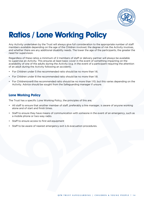

# **Ratios / Lone Working Policy**

Any Activity undertaken by the Trust will always give full consideration to the appropriate number of staff members available depending on the age of the Children involved, the degree of risk the Activity involves, and whether there are any additional disability needs. The lower the age of the participants, the greater the need for supervision.

Regardless of these ratios a minimum of 2 members of staff or delivery partner will always be available to supervise an Activity. This ensures at least basic cover in the event of something impacting on the availability of one of the adults during the Activity (e.g. in the event of a participant requiring the attention of an adult during the Activity following an accident).

- For Children under 5 the recommended ratio should be no more than 1:6.
- For Children under 8 the recommended ratio should be no more than 1:8.
- For Childrenover8 the recommended ratio should be no more than 1:10, but this varies depending on the Activity. Advice should be sought from the Safeguarding manager if unsure.

### **Lone Working Policy**

The Trust has a specific Lone Working Policy, the principles of this are;

- All staff to ensure that another member of staff, preferably a line manager, is aware of anyone working alone and of start and finish times.
- Staff to ensure they have means of communication with someone in the event of an emergency, such as a mobile phone or two-way radio.
- Staff to ensure access to first aid equipment
- Staff to be aware of nearest emergency exit is & evacuation procedures.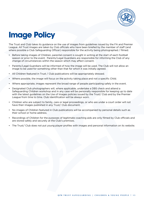

# **Image Policy**

The Trust and Club takes its guidance on the use of images from guidelines issued by the FA and Premier League. All Trust images are taken by Club officials who have been briefed by the member of staff (and where possible a Club Safeguarding Officer) responsible for the activity being photographed / filmed.

- Before taking images of Children, parental consent is sought in writing at the start of each football season or prior to the event. Parents/Legal Guardians are responsible for informing the Club of any change of circumstances within the season which may affect consent.
- Parents/Legal Guardians will be informed of how the image will be used. The Club will not allow an image to be used for something other than that for which it was initially agreed.
- All Children featured in Trust / Club publications will be appropriately dressed.
- Where possible, the image will focus on the activity taking place and not a specific Child.
- Where appropriate, images represent the broad range of people participating safely in the event.
- Designated Club photographers will, where applicable, undertake a DBS check and attend a Safeguarding Children workshop and in any case will be personally responsible for keeping up to date with the latest guidelines on the Use of Images policies issued by the Trust/ Club and by the Premier League from time to time. Club Identification will be always worn.
- Children who are subject to family, care or legal proceedings, or who are under a court order will not have their images published in any Trust/ Club document.
- No images of Children featured in Club publications will be accompanied by personal details such as their school or home address.
- Recordings of Children for the purposes of legitimate coaching aids are only filmed by Club officials and are stored safely and securely at the Club's premises.
- The Trust/ Club does not put young player profiles with images and personal information on its website.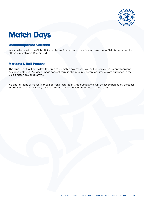

# **Match Days**

### **Unaccompanied Children**

In accordance with the Club's ticketing terms & conditions, the minimum age that a Child is permitted to attend a match at is 14 years old.

### **Mascots & Ball Persons**

The Club /Trust will only allow Children to be match day mascots or ball persons once parental consent has been obtained. A signed image consent form is also required before any images are published in the Club's match day programme.

No photographs of mascots or ball persons featured in Club publications will be accompanied by personal information about the Child, such as their school, home address or local sports team.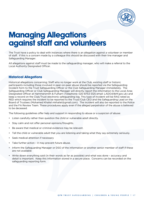

## **Managing Allegations against staff and volunteers**

The Trust have a policy to deal with instances where there is an allegation against a volunteer or member of staff. If this is a concern made by a colleague this should be discussed with their line manager and Safeguarding Manager.

All allegations against staff must be made to the safeguarding manager, who will make a referral to the Local Authority Designated Officer.

### **Historical Allegations**

Historical allegations concerning; Staff who no longer work at the Club, existing staff or historic participants including those involved in peer-on-peer abuse should be reported via the Safeguarding Incident form to the Trust Safeguarding Officer or the Club Safeguarding Manager immediately. The Safeguarding Officer or Club Safeguarding Manager will directly report the information to the Local Area Designated Officer at Hammersmith & Fulham (Telephone: 020 8753 5125 email: LADO@lbhf.gov.uk) and keep a record on the Club/Trust electronic safeguarding log. This type of incident will be RAG rated as RED which requires the incident to be reported to the Trust/Club CEO and the Safeguarding Lead on the Board of Trustees (Mohamed Khaliel mkhaliel@gmail.com). The incident will also be reported to the Police and the FA Review Team. These procedures apply even if the alleged perpetrator of the abuse is believed to be deceased.

The following guidelines offer help and support in responding to abuse or a suspicion of abuse:

- Listen carefully rather than question the child or vulnerable adult directly.
- Stay calm and not offer personal opinions/thoughts.
- Be aware that medical or criminal evidence may be relevant.
- Tell the child or vulnerable adult that you are listening and taking what they say extremely seriously.
- Seek medical attention if necessary
- Take further action it may prevent future abuse.
- Inform the Safeguarding Manager or DSO of the information or another senior member of staff if these are not available
- Write down everything said (in their words as far as possible) and what was done accuracy and detail is important. Keep this information stored in a secure place. Concerns can be recorded on the safeguarding reporting form.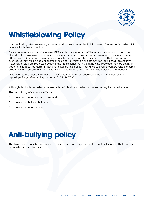

# **Whistleblowing Policy**

Whistleblowing refers to making a protected disclosure under the Public Interest Disclosure Act 1998. QPR have a whistle blowing policy

By encouraging a culture of openness QPR wants to encourage staff to raise issues, which concern them at work. Staff have a right and duty to raise matters of concern they may have about the services being offered by QPR or serious malpractice associated with them. Staff may be worried that by reporting such issues they will be opening themselves up to victimisation or detriment or risking their job security. However, all staff are protected by law if they raise concerns in the right way. Provided they are acting in good faith, it does not matter if they are mistaken. This policy is designed to ensure workers raise concerns properly and to ensure that mechanisms exist at QPR to address issues raised quickly and effectively.

In addition to the above, QPR have a specific Safeguarding whistleblowing hotline number for the reporting of any safeguarding concerns; 0203 198 7086.

Although this list is not exhaustive, examples of situations in which a disclosure may be made include; The committing of a criminal offence

Concerns over discrimination of any kind

Concerns about bullying behaviour

Concerns about poor practice

# **Anti-bullying policy**

The Trust have a specific anti bullying policy. This details the different types of bullying, and that this can happen both on and off-line.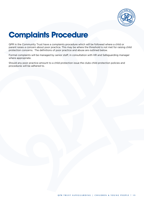

# **Complaints Procedure**

QPR in the Community Trust have a complaints procedure which will be followed where a child or parent raises a concern about poor practice. This may be where the threshold is not met for raising child protection concerns. The definitions of poor practice and abuse are outlined below.

Formal complaints will be managed by senior staff, in consultation with HR and Safeguarding manager where appropriate.

Should any poor practice amount to a child protection issue the clubs child protection policies and procedures will be adhered to.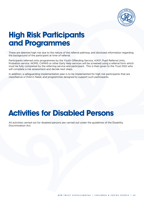

## **High Risk Participants and Programmes**

These are deemed high risk due to the nature of the referral pathway and disclosed information regarding the background of the participant at time of referral.

Participants referred onto programmes by the Youth Offending Service, H.M.P, Pupil Referral Units, Probation service, NOMS, CAMHS or other Early Help services will be screened using a referral form which must be fully completed by the referring service and participant. This is then given to the Trust DSO who will complete a risk assessment and decide next steps.

In addition, a safeguarding implementation plan is to be implemented for high risk participants that are classified as a Child in Need, and programmes designed to support such participants.

## **Activities for Disabled Persons**

All activities carried out for disabled persons are carried out under the guidelines of the Disability Discrimination Act.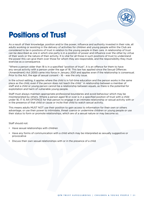

## **Positions of Trust**

As a result of their knowledge, position and/or the power, influence and authority invested in their role, all adults working or assisting in the delivery of activities for children and young people within the Club are considered to be in positions of trust in relation to the young people in their care. A relationship of trust can be described as one in which one party is in a position of power and influence over the other by virtue of their work or the nature of their activity. It is vital for all those in such positions of trust to understand the power this can give them over those for whom they are responsible, and the responsibility they must exercise as a consequence.

"Where a person older than 18 is in a specified "position of trust", it is an offence for them to have any sexual activity with a person under the age of 18. This law has applied since the Sexual Offences (Amendment) Act 2000 came into force in January 2001 and applies even if the relationship is consensual. Prior to the Act, the age of sexual consent - 16 - was the only issue.

In the school setting, it applies where the child is in full-time education and the person works in the same place as the child, even if the person does not teach the child." A relationship between a member of staff and a child or young person cannot be a relationship between equals, as there is the potential for exploitation and harm of vulnerable young people.

Staff must always maintain appropriate professional boundaries and avoid behaviour which may be misinterpreted by others. Where a person aged 18 or over is in a specified position of trust with a child under 18, IT IS AN OFFENCE for that person to engage in an intimate relationship or sexual activity with or in the presence of that child or cause or incite that child to watch sexual activity.

This means adults MUST NOT use their position to gain access to information for their own or others advantage, or use their power to intimidate, threat coerce or undermine children or young people or use their status to form or promote relationships, which are of a sexual nature or may become so.

Staff should not:

- Have sexual relationships with children
- Have any forms of communication with a child which may be interpreted as sexually suggestive or provocative
- Discuss their own sexual relationships with or in the presence of a child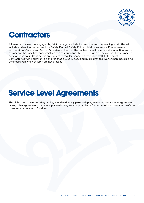

## **Contractors**

All external contractors engaged by QPR undergo a suitability test prior to commencing work. This will include evidencing the contractor's Safety Record, Safety Policy, Liability Insurance, Risk assessment and details of Competent Person. On arrival at the club the contractor will receive a site induction from a member of the Facilities team which covers safeguarding children and give details of the club's expected code of behaviour. Contractors are subject to regular inspection from club staff. In the event of a Contractor carrying out work on an area that is usually occupied by children this work, where possible, will be undertaken when children are not present.

## **Service Level Agreements**

The club commitment to safeguarding is outlined in any partnership agreements, service level agreements or any other agreements that are in place with any service provider or for commissioned services insofar as those services relate to Children.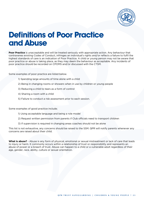

## **Definitions of Poor Practice and Abuse**

**Poor Practice** is unacceptable and will be treated seriously with appropriate action. Any behaviour that contravenes existing Codes of Conduct, infringes an individual's rights and/or reflects a failure to fulfil the highest standards of care is an indication of Poor Practice. A child or young person may not be aware that poor practice or abuse is taking place, as they may deem the behaviour as acceptable. Any incidents of poor practice should be recorded on CPOMS and/or discussed with the CTSM.

Some examples of poor practice are listed below.

- 1) Spending large amounts of time alone with a child
- 2) Being in changing rooms or showers when in use by children or young people
- 3) Reducing a child to tears as a form of control
- 4) Sharing a room with a child
- 5) Failure to conduct a risk assessment prior to each session.

Some examples of good practice include;

- 1) Using acceptable language and being a role model
- 2) Request written permission from parents if Club officials need to transport children
- 3) If supervision is required in changing areas coaches should not be alone

This list is not exhaustive, any concerns should be raised to the SSM. QPR will notify parents whenever any concerns are raised about their child.

**What is abuse?** - Abuse is any form of physical, emotional or sexual mistreatment or lack of care that leads to injury or harm. It commonly occurs within a relationship of trust or responsibility and represents an abuse of power or a breach of trust. Abuse can happen to a child or a vulnerable adult regardless of their age, gender, race, ability, culture or sexual orientation.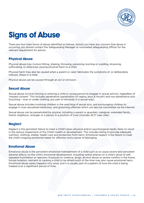

# **Signs of Abuse**

There are four main forms of abuse identified as follows, should you have any concern that abuse is occurring you should contact the Safeguarding Manager or nominated safeguarding Officer for the relevant department for advice.

### **Physical Abuse**

Physical abuse may involve hitting, shaking, throwing, poisoning, burning or scalding, drowning, suffocating, or otherwise causing physical harm to a child.

Physical harm may also be caused when a parent or carer fabricates the symptoms of, or deliberately induces, illness in a child.

Physical abuse can be caused through an act or omission.

### **Sexual Abuse**

Sexual abuse involves forcing or enticing a child or young person to engage in sexual activity, regardless of 'implied consent.' This includes penetrative (penetration of vagina, anus & mouth) and non-penetrative acts (touching – over or under clothing, any part of the body in a sexual way).

Sexual abuse includes involving children in the watching of sexual acts, and encouraging children to engage in over-sexualised behaviour, and grooming offences which can also be committed via the internet.

Sexual abuse can be perpetrated by anyone, including a parent or guardian, caregiver, extended family, friend, neighbour, stranger or a person in a position of trust (includes 16/17 year olds).

### **Neglect**

Neglect is the persistent failure to meet a Child's basic physical and/or psychological needs, likely to result in the serious impairment of the Child's health or development. This includes failing to provide adequate nutrition, clothing, shelter, health care and protection from harm. Emotional neglect is the failure to meet the child's ongoing emotional needs for affection and a sense of belonging.

### **Emotional Abuse**

Emotional abuse is the persistent emotional maltreatment of a child such as to cause severe and persistent adverse effects on the child's emotional development, including verbal attacks on a child's sense of self, repeated humiliation or rejection. Exposure to violence, drugs, alcohol abuse or severe conflict in the home, forced isolation, restraint or causing a child to be afraid much of the time may also cause emotional harm. Emotional abuse rarely happens only once, and it is usually part of a pattern of how the child is being treated over a significant period of time.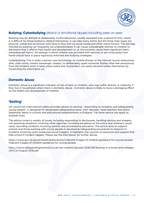

### **Bullying/ Cyberbullying** (strand of emotional abuse) including peer on peer

Bullying may be defined as deliberately hurtful behaviour, usually repeated over a period of time, where it is difficult for those bullied to defend themselves. It can take many forms, but the three main types are physical, verbal and emotional, both face to face and via social media and other online forums. The damage inflicted by bullying can frequently be underestimated. It can cause considerable distress to children to the extent that it affects their health and development or, at the extreme, cause them significant harm (including self-harm). All settings in which children are provided with services or are living away from home should have in place rigorously enforced anti-bullying strategies.

Cyberbullying; This is when a person uses technology i.e. mobile phones or the internet (social networking sites, chat rooms, instant messenger, tweets), to deliberately upset someone. Bullies often feel anonymous from the incident when it takes place online and 'bystanders' can easily become bullies themselves by forwarding the information on.

### **Domestic Abuse**

Domestic abuse is a significant indicator of risk of harm to children, who may suffer directly or indirectly if they live in households where there is domestic abuse. Domestic abuse is likely to have a damaging effect on the health and development of children.

### **'Sexting'**

UK council for child internet safety provides advice on sexting, "responding to incidents and safeguarding young people", is designed for designated safeguarding leads, their deputies, head teachers and senior leadership teams in schools and educational establishments in England. The same advice can apply to football clubs.

The advice covers a variety of issues, including responding to disclosures, handling devices and imagery, risk assessing situations, involving other agencies (including escalation to the police and children's social care), recording incidents, involving parents and preventative education. The advice aims to support schools and those working with young people in developing safeguarding procedures to respond to incidents involving youth produced sexual imagery. It highlights key sources of resources and support that help school if incident happen. Please see the links below for further advise.

https://www.gov.uk/government/publications/indecent-images-of-children-guidance-for-young-people/ indecent-images-of-children-guidance-for-young-people

https://www.safeguardinginschools.co.uk/wp-content/uploads/2016/08/Sexting-in-schools-and-colleges-UKCCIS-August-2016.pdf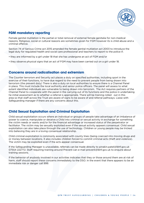

### **FGM mandatory reporting**

Female genital mutilation is the partial or total removal of external female genitalia for non-medical reasons. Religious, social or cultural reasons are sometimes given for FGM however its is child abuse and a criminal offence.

Section 74 of Serious Crime act 2015 amended the female genital mutilation act 2003 to introduce the legal duty for regulated health and social care professional and teachers to report to the police if;

- they are informed by a girl under 18 that she has undergone an act of FGM and/or
- they observe physical signs that an act of FGM may have been carried out on a girl under 18.

### **Concerns around radicalisation and extremism**

The Counter terrorism and Security act places a duty on specified authorities, including sport in the exercise of their functions, to have due regard to the need to prevent people from being drawn into terrorism (the prevent duty) There is also a duty on local authorities to ensure there is a Channel Panel in place. This must include the local authority and senior police officers. The panel will assess to what extent identified individuals are vulnerable to being drawn into terrorism. The Act requires partners of the Channel Panel to cooperate with the panel in the carrying out of its functions and the police in undertaking he initial assessment as to whether a referral is appropriate. There will be training rolled out in this area so that staff across the Trust are aware of signs to be aware of and referral pathways. Liaise with Safeguarding manager if there are any concerns about this.

### **Child Sexual Exploitation and Criminal Exploitation**

Child sexual exploitation occurs where an individual or groups of people take advantage of an imbalance of power to coerce, manipulate or deceive a Child into criminal or sexual activity in exchange for something the victim needs or wants and/or for the financial advantage or increased status of the perpetrator or facilitator. The victim may be sexually exploited even if the sexual activity appears consensual. Child sexual exploitation can also take place through the use of technology. Children or young people may be tricked into believing they are in a loving consensual relationship.

Child criminal exploitation is commonly associated with county lines (being coerced into moving drugs and or money between locations. It also includes children forced to commit criminal acts (theft and violence). The victim may be exploited even if the acts appear consensual.

If the Safeguarding Manager is unavailable, referrals can be made directly to pinakin.patel@lbhf.gov.uk 07554 222772. Staff requiring training around Prevent can e-mail prevent@lbhf.gov.uk to enquire about training sessions.

If the behavior of anybody involved in our activities indicates that they or those around them are at risk of harm, staff should report these concerns immediately to the DSO. In the event that there appears to be an immediate risk or danger call 999.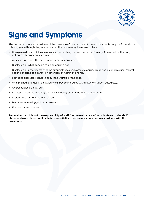

# **Signs and Symptoms**

The list below is not exhaustive and the presence of one or more of these indicators is not proof that abuse is taking place though they are indicators that abuse may have taken place:

- Unexplained or suspicious injuries such as bruising, cuts or burns, particularly if on a part of the body not normally prone to such injuries.
- An injury for which the explanation seems inconsistent.
- Disclosure of what appears to be an abusive act.
- Disclosure of unsatisfactory home circumstances i.e. Domestic abuse, drugs and alcohol misuse, mental health concerns of a parent or other person within the home.
- Someone expresses concern about the welfare of the child.
- Unexplained changes in behaviour (e.g. becoming quiet, withdrawn or sudden outbursts).
- Oversexualised behaviour.
- Displays variations in eating patterns including overeating or loss of appetite.
- Weight loss for no apparent reason.
- Becomes increasingly dirty or unkempt.
- Evasive parents/carers.

**Remember that: It is not the responsibility of staff (permanent or casual) or volunteers to decide if abuse has taken place, but it is their responsibility to act on any concerns, in accordance with this procedure.**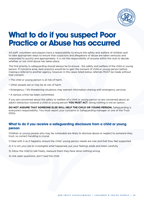

### **What to do if you suspect Poor Practice or Abuse has occurred**

All staff, volunteers and players have a responsibility to ensure the safety and welfare of children and to take appropriate steps to ensure that suspicions and allegations of abuse are taken seriously and responded to quickly and appropriately. It is not the responsibility of anyone within the club to decide whether or not child abuse has taken place.

The first priority in safeguarding should always be to ensure the safety and welfare of the child or young person. If concerns arise, best practice would be to gain the consent of child or young person before making a referral to another agency, however in the cases listed below referrals MUST be made without that consent:

- The child or young person is at risk of harm.
- Other people are or may be at risk of harm.
- Emergency / life threatening situations may warrant information sharing with emergency services.
- A serious crime has been committed.

If you are concerned about the safety or welfare of a child or young person or are concerned about an adult's behaviour towards a child or young person **YOU MUST ACT**, doing nothing is not an option.

**DO NOT ASSUME THAT SOMEONE ELSE WILL HELP THE CHILD OR YOUNG PERSON.** Safeguarding is everyone's responsibility. You must report your concerns to Safeguarding manager or one of the Trust DSOs.

### **What to do if you receive a safeguarding disclosure from a child or young person**

Children or young people who may be vulnerable are likely to disclose abuse or neglect to someone they trust, so correct handling is crucial

- 1) Deal with it as it happens, ensure the child/ young person needs are met and that they feel supported
- 2) It is not your job to investigate what happened, put your feelings aside and listen carefully
- 3) Allow the child to talk freely, reassure them they have done nothing wrong
- 4) Ask open questions, don't lead the child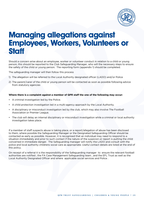

### **Managing allegations against Employees, Workers, Volunteers or Staff**

Should a concern arise about an employee, worker or volunteer conduct in relation to a child or young person, this should be reported to the Club Safeguarding Manager, who will the necessary steps to ensure the safety of the child or young person. The reporting form (appendix 1) should be completed.

The safeguarding manager will then follow this process

- 1) The allegation will be referred to the Local Authority designated officer (LADO) and/or Police
- 2) The parent/carer of the child or young person will be contacted as soon as possible following advice from statutory agencies

#### **Where there is a complaint against a member of QPR staff the one of the following may occur:**

- A criminal investigation led by the Police.
- A child protection investigation led in a multi-agency approach by the Local Authority.
- A disciplinary or misconduct investigation led by the club, which may also involve The Football Association or Premier League.
- The club will delay an internal disciplinary or misconduct investigation while a criminal or local authority investigation takes place.

If a member of staff suspects abuse is taking place, or a report/allegation of abuse has been disclosed to them, where possible the Safeguarding Manager or the Designated Safeguarding Officer should be contacted as early as possible. However, it is recognised that an individual may need to respond to a situation immediately and prior to such contact if the nature of the suspicion or report is putting the child concerned in immediate danger. The Safeguarding manager will notify the LADO and consult with the police and local authority childrens social care as appropriate. Useful contact details are listed at the end of this policy.

On receipt of a referral it is the responsibility of the Safeguarding manager to ensure the relevant football authorities are notified ; the FA Case Management Safeguarding team , and the EFL Trust as well as the Local Authority Designated Officer and where applicable social services and Police .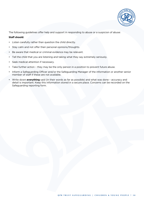

The following guidelines offer help and support in responding to abuse or a suspicion of abuse:

#### **Staff should:**

- Listen carefully rather than question the child directly.
- Stay calm and not offer their personal opinions/thoughts.
- Be aware that medical or criminal evidence may be relevant.
- Tell the child that you are listening and taking what they say extremely seriously.
- Seek medical attention if necessary.
- Take further action they may be the only person in a position to prevent future abuse.
- Inform a Safeguarding Officer and/or the Safeguarding Manager of the information or another senior member of staff if these are not available.
- Write down **everything** said (in their words as far as possible) and what was done accuracy and detail is important. Keep this information stored in a secure place. Concerns can be recorded on the Safeguarding reporting form.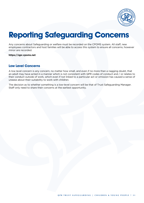

# **Reporting Safeguarding Concerns**

Any concerns about Safeguarding or welfare must be recorded on the CPOMS system. All staff, new employees contractors and host families will be able to access this system to ensure all concerns, however minor are recorded.

**https://qpr.cpoms.net**

### **Low Level Concerns**

A low level concern is any concern, no matter how small, and even if no more than a nagging doubt, that an adult may have acted in a manner which is not consistent with QPR codes of conduct and / or relates to their conduct outside of work, which even if not linked to a particular act or omission has caused a sense of unease about their suitability to work with children.

The decision as to whether something is a low-level concern will be that of Trust Safeguarding Manager. Staff only need to share their concerns at the earliest opportunity.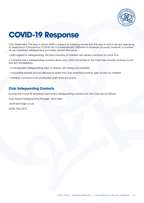

# **COVID-19 Response**

Club Statement The way in which QPR is subject to ongoing review but the way in which we are operating in response to Coronavirus (COVID-19) is fundamentally different to business as usual, however, a number of our important safeguarding principles remain the same:

• with regard to safeguarding, the best interests of children will always continue to come first

• if anyone has a safeguarding concern about any child connected to the Club they should continue to act and act immediately

- a Designated Safeguarding lead or Deputy will always be available
- unsuitable people are not allowed to enter the Club workforce and/or gain access to children
- children continue to be protected when they are online

### **Club Safeguarding Contacts**

During the Covid-19 lockdown period the Safeguarding contacts for the Club are as follows:

Club Senior Safeguarding Manager Janet Barr

Janet.barr@qpr.co.uk

0208 740 2572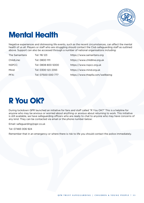

# **Mental Health**

Negative experiences and distressing life events, such as the recent circumstances, can affect the mental health of us all. Players or staff who are struggling should contact the Club safeguarding staff as outlined above. Support can also be accessed through a number of national organisations including:

| The Samaritans | Tel: 116 123       | https://www.samaritans.org       |
|----------------|--------------------|----------------------------------|
| ChildLine:     | Tel: 0800 1111     | https://www.childline.org.uk     |
| NSPCC:         | Tel: 0808 800 5000 | https://www.nspcc.org.uk         |
| Mind:          | Tel: 0300 123 3393 | https://www.mind.org.uk          |
| PFA:           | Tel: 07500 000 777 | https://www.thepfa.com/wellbeing |

## **R You OK?**

During lockdown QPR launched an initiative for fans and staff called "R You OK?" This is a helpline for anyone who may be anxious or worried about anything or anxious about returning to work. This initiative is still available, we have safeguarding officers who are ready to chat to anyone who may have concerns of any kind. They can be contacted via email or the phone number below:

Email: safeguarding@qpr.co.uk

Tel: 07483 006 924

Remember that in an emergency or where there is risk to life you should contact the police immediately.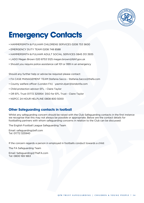

## **Emergency Contacts**

- HAMMERSMITH & FULHAM CHILDRENS SERVICES 0208 753 5600
- EMERGENCY DUTY TEAM 0208 748 8588
- HAMMERSMITH & FULHAM ADULT SOCIAL SERVICES 0845 313 3935
- LADO Megan Brown 020 8753 5125 megan.brown@lbhf.gov.uk
- Should you require police assistance call 101 or 999 in an emergency

Should any further help or advise be required please contact:

- FA CASE MANAGEMENT TEAM Stefania Sacco Stefania.Sacco@thefa.com
- County welfare officer (London FA) yasmin.dyer@londonfa.com
- Child protection advisor EFL Claire Taylor
- OR EFL Trust 01772 325954 DSO for EFL Trust Claire Taylor
- NSPCC 24 HOUR HELPLINE 0808 800 5000

### **Other Safeguarding contacts in football**

Whilst any safeguarding concern should be raised with the Club Safeguarding contacts in the first instance we recognise that this may not always be possible or appropriate. Below are the contact details for footballing partners with whom safeguarding concerns in relation to the Club can be discussed:

The English Football League Safeguarding Team

Email: safeguarding@efl.com Tel: 01772 325940

If the concern regards a person in employed in footballs conduct towards a child:

The FA Safeguarding Team

Email: Safeguarding@TheFA.com Tel: 0800 169 1863